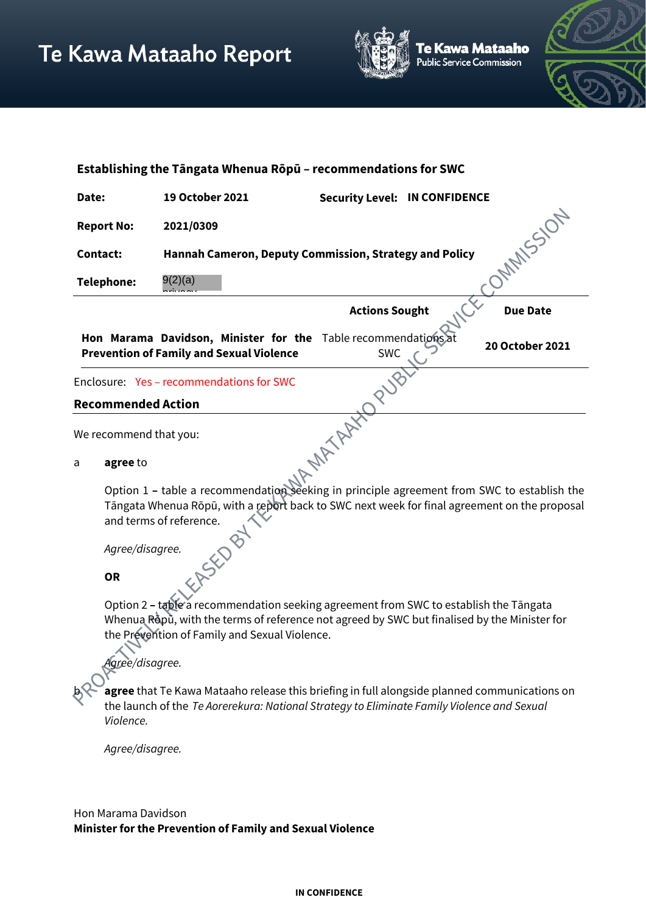

e Kawa Mataaho ublic Service Commission



| Establishing the Tāngata Whenua Rōpū - recommendations for SWC |                                                                                                                                                                                                                       |                                      |  |                 |
|----------------------------------------------------------------|-----------------------------------------------------------------------------------------------------------------------------------------------------------------------------------------------------------------------|--------------------------------------|--|-----------------|
| Date:                                                          | 19 October 2021                                                                                                                                                                                                       | <b>Security Level: IN CONFIDENCE</b> |  |                 |
| <b>Report No:</b>                                              | 2021/0309                                                                                                                                                                                                             |                                      |  | <b>MANSSION</b> |
| <b>Contact:</b>                                                | Hannah Cameron, Deputy Commission, Strategy and Policy                                                                                                                                                                |                                      |  |                 |
| <b>Telephone:</b>                                              | 9(2)(a)                                                                                                                                                                                                               |                                      |  |                 |
|                                                                |                                                                                                                                                                                                                       | <b>Actions Sought</b>                |  | <b>Due Date</b> |
|                                                                | Hon Marama Davidson, Minister for the Table recommendations<br><b>Prevention of Family and Sexual Violence</b>                                                                                                        | <b>SWC</b>                           |  | 20 October 2021 |
|                                                                | Enclosure: Yes - recommendations for SWC                                                                                                                                                                              |                                      |  |                 |
| <b>Recommended Action</b>                                      |                                                                                                                                                                                                                       |                                      |  |                 |
| We recommend that you:                                         |                                                                                                                                                                                                                       |                                      |  |                 |
| agree to<br>a                                                  |                                                                                                                                                                                                                       |                                      |  |                 |
|                                                                | Option 1 - table a recommendation seeking in principle agreement from SWC to establish the<br>Tāngata Whenua Rōpū, with a report back to SWC next week for final agreement on the proposal<br>and terms of reference. |                                      |  |                 |
| Agree/disagree.                                                |                                                                                                                                                                                                                       |                                      |  |                 |
| <b>OR</b>                                                      |                                                                                                                                                                                                                       |                                      |  |                 |

#### **OR**

Option 2 **–** table a recommendation seeking agreement from SWC to establish the Tāngata Whenua Ropu, with the terms of reference not agreed by SWC but finalised by the Minister for the Prevention of Family and Sexual Violence.

*Agree/disagree.*

agree that Te Kawa Mataaho release this briefing in full alongside planned communications on the launch of the *Te Aorerekura: National Strategy to Eliminate Family Violence and Sexual Violence.* 

*Agree/disagree.*

Hon Marama Davidson **Minister for the Prevention of Family and Sexual Violence**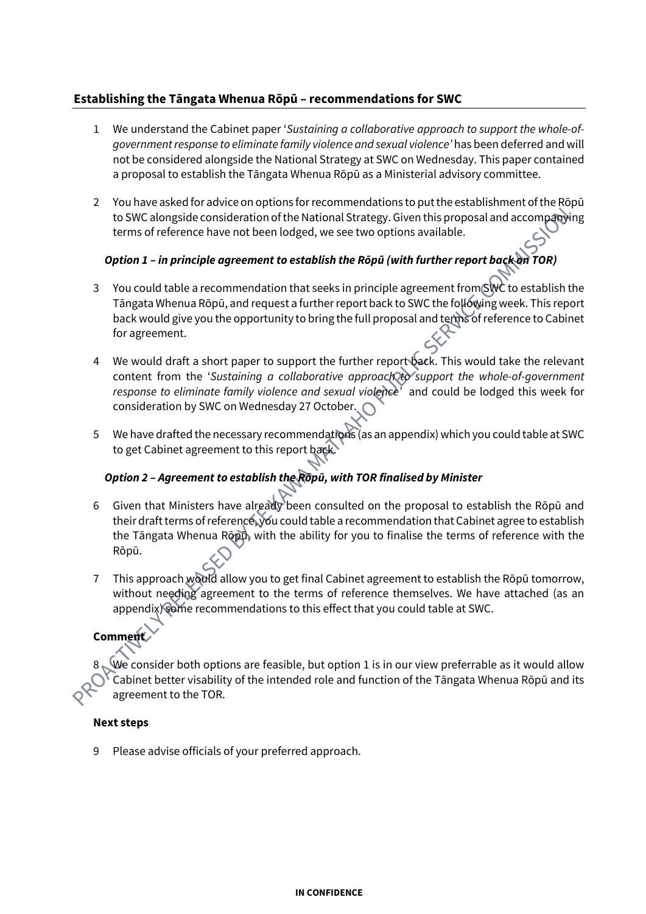## **Establishing the Tāngata Whenua Rōpū – recommendations for SWC**

- 1 We understand the Cabinet paper '*Sustaining a collaborative approach to support the whole-ofgovernment response to eliminate family violence and sexual violence'* has been deferred and will not be considered alongside the National Strategy at SWC on Wednesday. This paper contained a proposal to establish the Tāngata Whenua Rōpū as a Ministerial advisory committee.
- 2 You have asked for advice on options for recommendations to put the establishment of the Rōpū to SWC alongside consideration of the National Strategy. Given this proposal and accompanying terms of reference have not been lodged, we see two options available.

## *Option 1 – in principle agreement to establish the Rōpū (with further report back on TOR)*

- 3 You could table a recommendation that seeks in principle agreement from SWC to establish the Tāngata Whenua Rōpū, and request a further report back to SWC the following week. This report back would give you the opportunity to bring the full proposal and terms of reference to Cabinet for agreement.
- 4 We would draft a short paper to support the further report back. This would take the relevant content from the 'Sustaining a collaborative approach to support the whole-of-government *response to eliminate family violence and sexual violence'* and could be lodged this week for consideration by SWC on Wednesday 27 October.
- 5 We have drafted the necessary recommendations (as an appendix) which you could table at SWC to get Cabinet agreement to this report back

### *Option 2 – Agreement to establish the Rōpū, with TOR finalised by Minister*

- 6 Given that Ministers have already been consulted on the proposal to establish the Rōpū and their draft terms of reference, you could table a recommendation that Cabinet agree to establish the Tāngata Whenua Rōpū, with the ability for you to finalise the terms of reference with the Rōpū.
- 7 This approach would allow you to get final Cabinet agreement to establish the Rōpū tomorrow, without needing agreement to the terms of reference themselves. We have attached (as an appendix) some recommendations to this effect that you could table at SWC.

# **Comment**

We consider both options are feasible, but option 1 is in our view preferrable as it would allow Cabinet better visability of the intended role and function of the Tāngata Whenua Rōpū and its agreement to the TOR.

### **Next steps**

9 Please advise officials of your preferred approach.